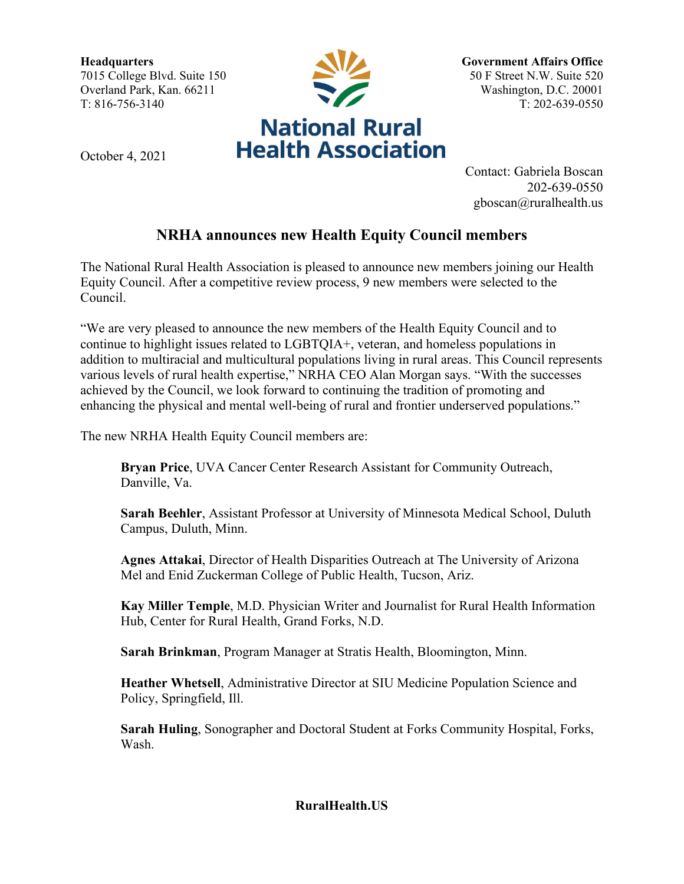**Headquarters** 7015 College Blvd. Suite 150 Overland Park, Kan. 66211 T: 816-756-3140



October 4, 2021

**Government Affairs Office** 50 F Street N.W. Suite 520 Washington, D.C. 20001 T: 202-639-0550

Contact: Gabriela Boscan 202-639-0550 gboscan@ruralhealth.us

## **NRHA announces new Health Equity Council members**

The National Rural Health Association is pleased to announce new members joining our Health Equity Council. After a competitive review process, 9 new members were selected to the Council.

"We are very pleased to announce the new members of the Health Equity Council and to continue to highlight issues related to LGBTQIA+, veteran, and homeless populations in addition to multiracial and multicultural populations living in rural areas. This Council represents various levels of rural health expertise," NRHA CEO Alan Morgan says. "With the successes achieved by the Council, we look forward to continuing the tradition of promoting and enhancing the physical and mental well-being of rural and frontier underserved populations."

The new NRHA Health Equity Council members are:

**Bryan Price**, UVA Cancer Center Research Assistant for Community Outreach, Danville, Va.

**Sarah Beehler**, Assistant Professor at University of Minnesota Medical School, Duluth Campus, Duluth, Minn.

**Agnes Attakai**, Director of Health Disparities Outreach at The University of Arizona Mel and Enid Zuckerman College of Public Health, Tucson, Ariz.

**Kay Miller Temple**, M.D. Physician Writer and Journalist for Rural Health Information Hub, Center for Rural Health, Grand Forks, N.D.

**Sarah Brinkman**, Program Manager at Stratis Health, Bloomington, Minn.

**Heather Whetsell**, Administrative Director at SIU Medicine Population Science and Policy, Springfield, Ill.

**Sarah Huling**, Sonographer and Doctoral Student at Forks Community Hospital, Forks, Wash.

**RuralHealth.US**